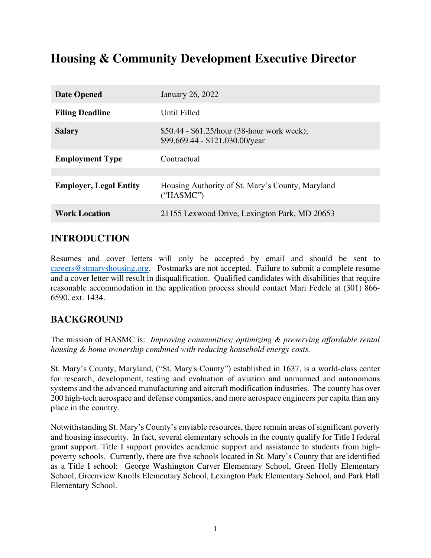# **Housing & Community Development Executive Director**

| <b>Date Opened</b>            | January 26, 2022                                                               |
|-------------------------------|--------------------------------------------------------------------------------|
| <b>Filing Deadline</b>        | Until Filled                                                                   |
| <b>Salary</b>                 | \$50.44 - \$61.25/hour (38-hour work week);<br>\$99,669.44 - \$121,030.00/year |
| <b>Employment Type</b>        | Contractual                                                                    |
|                               |                                                                                |
| <b>Employer, Legal Entity</b> | Housing Authority of St. Mary's County, Maryland<br>("HASMC")                  |
| <b>Work Location</b>          | 21155 Lexwood Drive, Lexington Park, MD 20653                                  |
|                               |                                                                                |

### **INTRODUCTION**

Resumes and cover letters will only be accepted by email and should be sent to [careers@stmaryshousing.org.](mailto:careers@stmaryshousing.org) Postmarks are not accepted. Failure to submit a complete resume and a cover letter will result in disqualification. Qualified candidates with disabilities that require reasonable accommodation in the application process should contact Mari Fedele at (301) 866- 6590, ext. 1434.

### **BACKGROUND**

The mission of HASMC is: *Improving communities; optimizing & preserving affordable rental housing & home ownership combined with reducing household energy costs.* 

St. Mary's County, Maryland, ("St. Mary's County") established in 1637, is a world-class center for research, development, testing and evaluation of aviation and unmanned and autonomous systems and the advanced manufacturing and aircraft modification industries. The county has over 200 high-tech aerospace and defense companies, and more aerospace engineers per capita than any place in the country.

Notwithstanding St. Mary's County's enviable resources, there remain areas of significant poverty and housing insecurity. In fact, several elementary schools in the county qualify for Title I federal grant support. Title I support provides academic support and assistance to students from highpoverty schools. Currently, there are five schools located in St. Mary's County that are identified as a Title I school: George Washington Carver Elementary School, Green Holly Elementary School, Greenview Knolls Elementary School, Lexington Park Elementary School, and Park Hall Elementary School.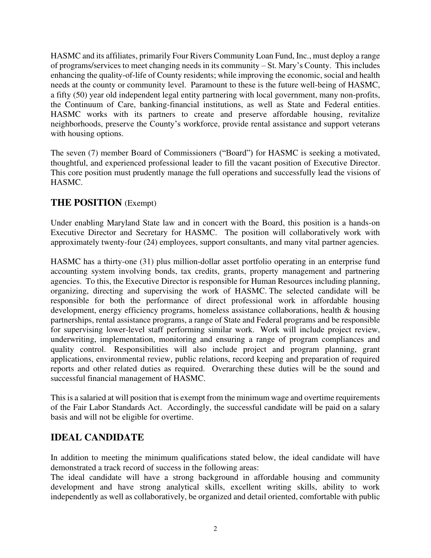HASMC and its affiliates, primarily Four Rivers Community Loan Fund, Inc., must deploy a range of programs/services to meet changing needs in its community – St. Mary's County. This includes enhancing the quality-of-life of County residents; while improving the economic, social and health needs at the county or community level. Paramount to these is the future well-being of HASMC, a fifty (50) year old independent legal entity partnering with local government, many non-profits, the Continuum of Care, banking-financial institutions, as well as State and Federal entities. HASMC works with its partners to create and preserve affordable housing, revitalize neighborhoods, preserve the County's workforce, provide rental assistance and support veterans with housing options.

The seven (7) member Board of Commissioners ("Board") for HASMC is seeking a motivated, thoughtful, and experienced professional leader to fill the vacant position of Executive Director. This core position must prudently manage the full operations and successfully lead the visions of HASMC.

### **THE POSITION** (Exempt)

Under enabling Maryland State law and in concert with the Board, this position is a hands-on Executive Director and Secretary for HASMC. The position will collaboratively work with approximately twenty-four (24) employees, support consultants, and many vital partner agencies.

HASMC has a thirty-one (31) plus million-dollar asset portfolio operating in an enterprise fund accounting system involving bonds, tax credits, grants, property management and partnering agencies. To this, the Executive Director is responsible for Human Resources including planning, organizing, directing and supervising the work of HASMC. The selected candidate will be responsible for both the performance of direct professional work in affordable housing development, energy efficiency programs, homeless assistance collaborations, health & housing partnerships, rental assistance programs, a range of State and Federal programs and be responsible for supervising lower-level staff performing similar work. Work will include project review, underwriting, implementation, monitoring and ensuring a range of program compliances and quality control. Responsibilities will also include project and program planning, grant applications, environmental review, public relations, record keeping and preparation of required reports and other related duties as required. Overarching these duties will be the sound and successful financial management of HASMC.

This is a salaried at will position that is exempt from the minimum wage and overtime requirements of the Fair Labor Standards Act. Accordingly, the successful candidate will be paid on a salary basis and will not be eligible for overtime.

## **IDEAL CANDIDATE**

In addition to meeting the minimum qualifications stated below, the ideal candidate will have demonstrated a track record of success in the following areas:

The ideal candidate will have a strong background in affordable housing and community development and have strong analytical skills, excellent writing skills, ability to work independently as well as collaboratively, be organized and detail oriented, comfortable with public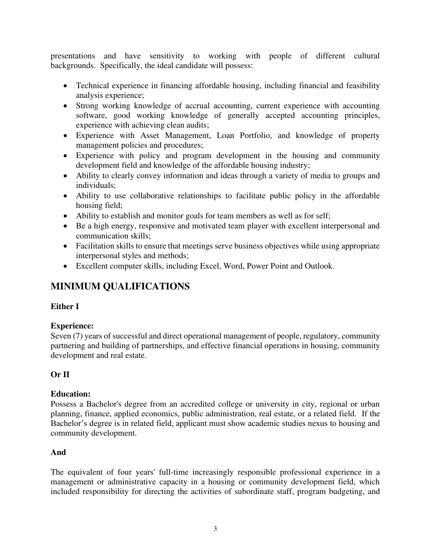presentations and have sensitivity to working with people of different cultural backgrounds. Specifically, the ideal candidate will possess:

- Technical experience in financing affordable housing, including financial and feasibility analysis experience;
- Strong working knowledge of accrual accounting, current experience with accounting software, good working knowledge of generally accepted accounting principles, experience with achieving clean audits;
- Experience with Asset Management, Loan Portfolio, and knowledge of property management policies and procedures;
- Experience with policy and program development in the housing and community development field and knowledge of the affordable housing industry;
- Ability to clearly convey information and ideas through a variety of media to groups and individuals;
- Ability to use collaborative relationships to facilitate public policy in the affordable housing field;
- Ability to establish and monitor goals for team members as well as for self;
- Be a high energy, responsive and motivated team player with excellent interpersonal and communication skills;
- Facilitation skills to ensure that meetings serve business objectives while using appropriate interpersonal styles and methods;
- Excellent computer skills, including Excel, Word, Power Point and Outlook.

# **MINIMUM QUALIFICATIONS**

#### **Either I**

#### **Experience:**

Seven (7) years of successful and direct operational management of people, regulatory, community partnering and building of partnerships, and effective financial operations in housing, community development and real estate.

### **Or II**

#### **Education:**

Possess a Bachelor's degree from an accredited college or university in city, regional or urban planning, finance, applied economics, public administration, real estate, or a related field. If the Bachelor's degree is in related field, applicant must show academic studies nexus to housing and community development.

#### **And**

The equivalent of four years' full-time increasingly responsible professional experience in a management or administrative capacity in a housing or community development field, which included responsibility for directing the activities of subordinate staff, program budgeting, and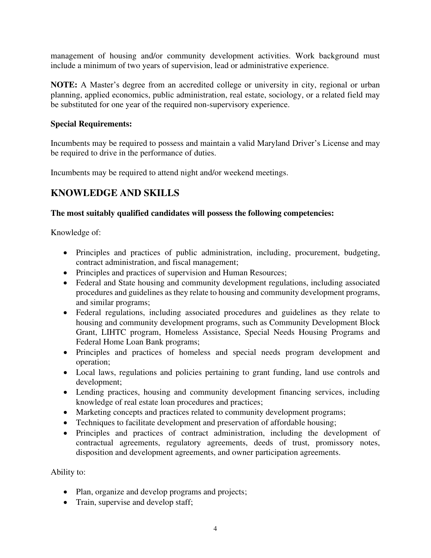management of housing and/or community development activities. Work background must include a minimum of two years of supervision, lead or administrative experience.

**NOTE:** A Master's degree from an accredited college or university in city, regional or urban planning, applied economics, public administration, real estate, sociology, or a related field may be substituted for one year of the required non-supervisory experience.

#### **Special Requirements:**

Incumbents may be required to possess and maintain a valid Maryland Driver's License and may be required to drive in the performance of duties.

Incumbents may be required to attend night and/or weekend meetings.

### **KNOWLEDGE AND SKILLS**

#### **The most suitably qualified candidates will possess the following competencies:**

Knowledge of:

- Principles and practices of public administration, including, procurement, budgeting, contract administration, and fiscal management;
- Principles and practices of supervision and Human Resources;
- Federal and State housing and community development regulations, including associated procedures and guidelines as they relate to housing and community development programs, and similar programs;
- Federal regulations, including associated procedures and guidelines as they relate to housing and community development programs, such as Community Development Block Grant, LIHTC program, Homeless Assistance, Special Needs Housing Programs and Federal Home Loan Bank programs;
- Principles and practices of homeless and special needs program development and operation;
- Local laws, regulations and policies pertaining to grant funding, land use controls and development;
- Lending practices, housing and community development financing services, including knowledge of real estate loan procedures and practices;
- Marketing concepts and practices related to community development programs;
- Techniques to facilitate development and preservation of affordable housing;
- Principles and practices of contract administration, including the development of contractual agreements, regulatory agreements, deeds of trust, promissory notes, disposition and development agreements, and owner participation agreements.

Ability to:

- Plan, organize and develop programs and projects;
- Train, supervise and develop staff;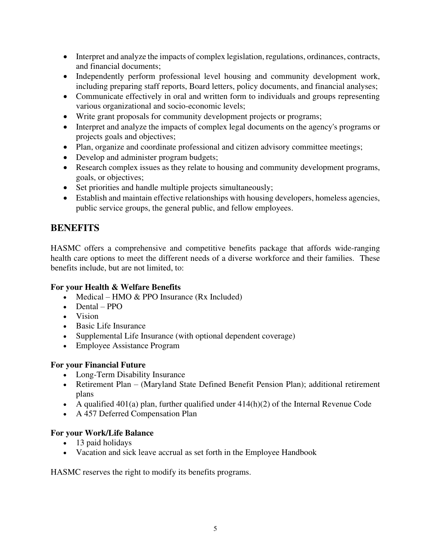- Interpret and analyze the impacts of complex legislation, regulations, ordinances, contracts, and financial documents;
- Independently perform professional level housing and community development work, including preparing staff reports, Board letters, policy documents, and financial analyses;
- Communicate effectively in oral and written form to individuals and groups representing various organizational and socio-economic levels;
- Write grant proposals for community development projects or programs;
- Interpret and analyze the impacts of complex legal documents on the agency's programs or projects goals and objectives;
- Plan, organize and coordinate professional and citizen advisory committee meetings;
- Develop and administer program budgets;
- Research complex issues as they relate to housing and community development programs, goals, or objectives;
- Set priorities and handle multiple projects simultaneously;
- Establish and maintain effective relationships with housing developers, homeless agencies, public service groups, the general public, and fellow employees.

# **BENEFITS**

HASMC offers a comprehensive and competitive benefits package that affords wide-ranging health care options to meet the different needs of a diverse workforce and their families. These benefits include, but are not limited, to:

### **For your Health & Welfare Benefits**

- Medical HMO  $&$  PPO Insurance (Rx Included)
- Dental PPO
- Vision
- Basic Life Insurance
- Supplemental Life Insurance (with optional dependent coverage)
- Employee Assistance Program

### **For your Financial Future**

- Long-Term Disability Insurance
- Retirement Plan (Maryland State Defined Benefit Pension Plan); additional retirement plans
- A qualified 401(a) plan, further qualified under  $414(h)(2)$  of the Internal Revenue Code
- A 457 Deferred Compensation Plan

### **For your Work/Life Balance**

- 13 paid holidays
- Vacation and sick leave accrual as set forth in the Employee Handbook

HASMC reserves the right to modify its benefits programs.